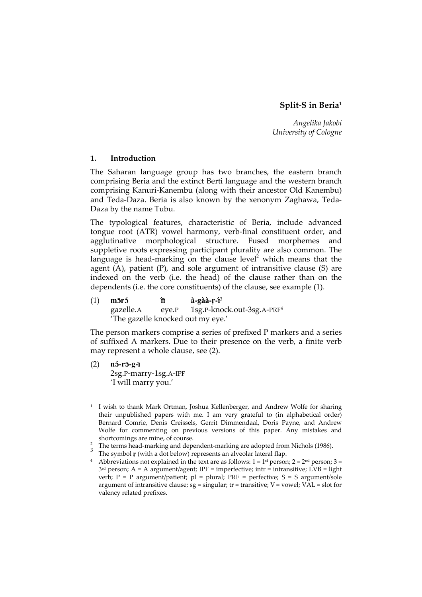**Split-S in Beria<sup>1</sup>**

*Angelika Jakobi University of Cologne* 

### **1. Introduction**

The Saharan language group has two branches, the eastern branch comprising Beria and the extinct Berti language and the western branch comprising Kanuri-Kanembu (along with their ancestor Old Kanembu) and Teda-Daza. Beria is also known by the xenonym Zaghawa, Teda-Daza by the name Tubu.

The typological features, characteristic of Beria, include advanced tongue root (ATR) vowel harmony, verb-final constituent order, and agglutinative morphological structure. Fused morphemes and suppletive roots expressing participant plurality are also common. The language is head-marking on the clause level<sup>2</sup> which means that the agent  $(A)$ , patient  $(P)$ , and sole argument of intransitive clause  $(S)$  are indexed on the verb (i.e. the head) of the clause rather than on the dependents (i.e. the core constituents) of the clause, see example (1).

(1)  $\mathbf{m5r5}$   $\hat{\mathbf{u}}$   $\hat{\mathbf{a}}$ -gàà-r-í<sup>3</sup> gazelle.A eye.P 1sg.P-knock.out-3sg.A-PRF<sup>4</sup> 'The gazelle knocked out my eye.'

The person markers comprise a series of prefixed P markers and a series of suffixed A markers. Due to their presence on the verb, a finite verb may represent a whole clause, see (2).

 $(2)$   $n5-r5-g-i$  2sg.P-marry-1sg.A-IPF 'I will marry you.'

l.

<sup>1</sup> I wish to thank Mark Ortman, Joshua Kellenberger, and Andrew Wolfe for sharing their unpublished papers with me. I am very grateful to (in alphabetical order) Bernard Comrie, Denis Creissels, Gerrit Dimmendaal, Doris Payne, and Andrew Wolfe for commenting on previous versions of this paper. Any mistakes and shortcomings are mine, of course.

 $\frac{2}{3}$  The terms head-marking and dependent-marking are adopted from Nichols (1986).

The symbol **r** (with a dot below) represents an alveolar lateral flap.

<sup>&</sup>lt;sup>4</sup> Abbreviations not explained in the text are as follows:  $1 = 1$ <sup>st</sup> person;  $2 = 2^{nd}$  person;  $3 =$ 3 rd person; A = A argument/agent; IPF = imperfective; intr = intransitive; LVB = light verb;  $P = P$  argument/patient;  $p1 =$  plural;  $PRF =$  perfective;  $S = S$  argument/sole argument of intransitive clause;  $sg =$  singular;  $tr =$  transitive;  $V =$  vowel;  $VAL =$  slot for valency related prefixes.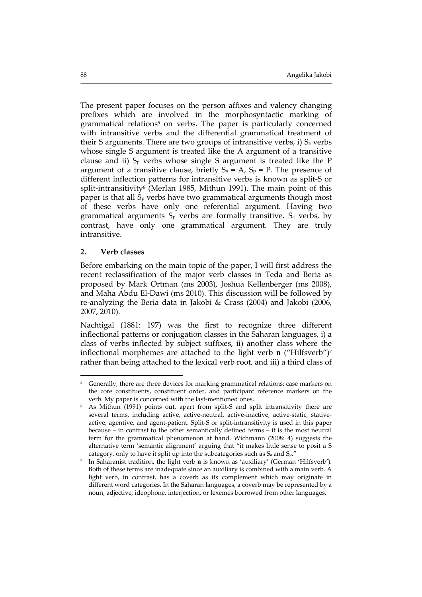The present paper focuses on the person affixes and valency changing prefixes which are involved in the morphosyntactic marking of grammatical relations<sup>5</sup> on verbs. The paper is particularly concerned with intransitive verbs and the differential grammatical treatment of their S arguments. There are two groups of intransitive verbs, i) Sa verbs whose single S argument is treated like the A argument of a transitive clause and ii)  $S_p$  verbs whose single S argument is treated like the P argument of a transitive clause, briefly  $S_a = A$ ,  $S_p = P$ . The presence of different inflection patterns for intransitive verbs is known as split-S or split-intransitivity<sup>6</sup> (Merlan 1985, Mithun 1991). The main point of this paper is that all  $S_p$  verbs have two grammatical arguments though most of these verbs have only one referential argument. Having two grammatical arguments  $S_p$  verbs are formally transitive.  $S_a$  verbs, by contrast, have only one grammatical argument. They are truly intransitive.

# **2. Verb classes**

l.

Before embarking on the main topic of the paper, I will first address the recent reclassification of the major verb classes in Teda and Beria as proposed by Mark Ortman (ms 2003), Joshua Kellenberger (ms 2008), and Maha Abdu El-Dawi (ms 2010). This discussion will be followed by re-analyzing the Beria data in Jakobi & Crass (2004) and Jakobi (2006, 2007, 2010).

Nachtigal (1881: 197) was the first to recognize three different inflectional patterns or conjugation classes in the Saharan languages, i) a class of verbs inflected by subject suffixes, ii) another class where the inflectional morphemes are attached to the light verb **n** ("Hilfsverb")<sup>7</sup> rather than being attached to the lexical verb root, and iii) a third class of

<sup>5</sup> Generally, there are three devices for marking grammatical relations: case markers on the core constituents, constituent order, and participant reference markers on the verb. My paper is concerned with the last-mentioned ones.

<sup>6</sup> As Mithun (1991) points out, apart from split-S and split intransitivity there are several terms, including active, active-neutral, active-inactive, active-static, stativeactive, agentive, and agent-patient. Split-S or split-intransitivity is used in this paper because – in contrast to the other semantically defined terms – it is the most neutral term for the grammatical phenomenon at hand. Wichmann (2008: 4) suggests the alternative term 'semantic alignment' arguing that "it makes little sense to posit a S category, only to have it split up into the subcategories such as Sa and Sp."

<sup>7</sup> In Saharanist tradition, the light verb **n** is known as 'auxiliary' (German 'Hilfsverb'). Both of these terms are inadequate since an auxiliary is combined with a main verb. A light verb, in contrast, has a coverb as its complement which may originate in different word categories. In the Saharan languages, a coverb may be represented by a noun, adjective, ideophone, interjection, or lexemes borrowed from other languages.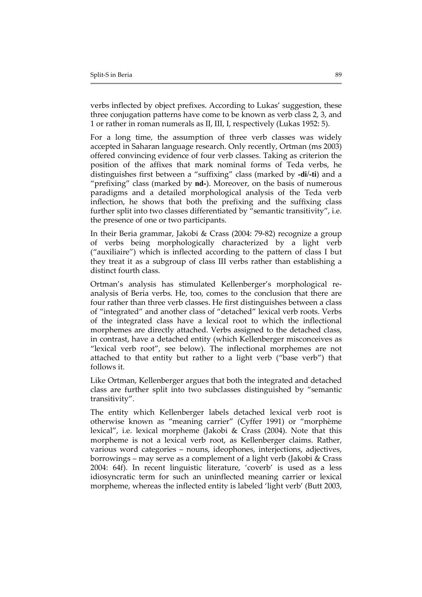verbs inflected by object prefixes. According to Lukas' suggestion, these three conjugation patterns have come to be known as verb class 2, 3, and 1 or rather in roman numerals as II, III, I, respectively (Lukas 1952: 5).

For a long time, the assumption of three verb classes was widely accepted in Saharan language research. Only recently, Ortman (ms 2003) offered convincing evidence of four verb classes. Taking as criterion the position of the affixes that mark nominal forms of Teda verbs, he distinguishes first between a "suffixing" class (marked by **-di/-ti**) and a "prefixing" class (marked by **nd-**). Moreover, on the basis of numerous paradigms and a detailed morphological analysis of the Teda verb inflection, he shows that both the prefixing and the suffixing class further split into two classes differentiated by "semantic transitivity", i.e. the presence of one or two participants.

In their Beria grammar, Jakobi & Crass (2004: 79-82) recognize a group of verbs being morphologically characterized by a light verb ("auxiliaire") which is inflected according to the pattern of class I but they treat it as a subgroup of class III verbs rather than establishing a distinct fourth class.

Ortman's analysis has stimulated Kellenberger's morphological reanalysis of Beria verbs. He, too, comes to the conclusion that there are four rather than three verb classes. He first distinguishes between a class of "integrated" and another class of "detached" lexical verb roots. Verbs of the integrated class have a lexical root to which the inflectional morphemes are directly attached. Verbs assigned to the detached class, in contrast, have a detached entity (which Kellenberger misconceives as "lexical verb root", see below). The inflectional morphemes are not attached to that entity but rather to a light verb ("base verb") that follows it.

Like Ortman, Kellenberger argues that both the integrated and detached class are further split into two subclasses distinguished by "semantic transitivity".

The entity which Kellenberger labels detached lexical verb root is otherwise known as "meaning carrier" (Cyffer 1991) or "morphème lexical", i.e. lexical morpheme (Jakobi & Crass (2004). Note that this morpheme is not a lexical verb root, as Kellenberger claims. Rather, various word categories – nouns, ideophones, interjections, adjectives, borrowings – may serve as a complement of a light verb (Jakobi & Crass 2004: 64f). In recent linguistic literature, 'coverb' is used as a less idiosyncratic term for such an uninflected meaning carrier or lexical morpheme, whereas the inflected entity is labeled 'light verb' (Butt 2003,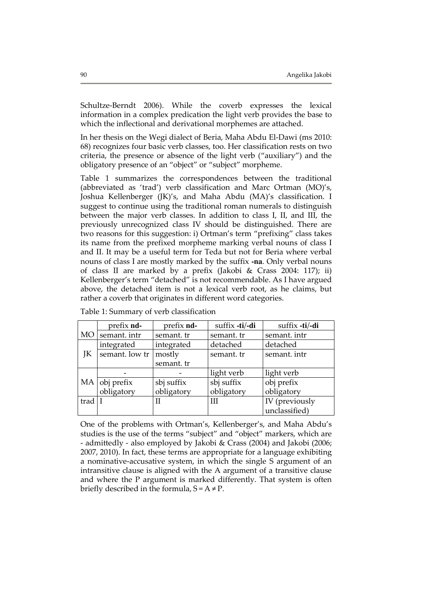Schultze-Berndt 2006). While the coverb expresses the lexical information in a complex predication the light verb provides the base to which the inflectional and derivational morphemes are attached.

In her thesis on the Wegi dialect of Beria, Maha Abdu El-Dawi (ms 2010: 68) recognizes four basic verb classes, too. Her classification rests on two criteria, the presence or absence of the light verb ("auxiliary") and the obligatory presence of an "object" or "subject" morpheme.

Table 1 summarizes the correspondences between the traditional (abbreviated as 'trad') verb classification and Marc Ortman (MO)'s, Joshua Kellenberger (JK)'s, and Maha Abdu (MA)'s classification. I suggest to continue using the traditional roman numerals to distinguish between the major verb classes. In addition to class I, II, and III, the previously unrecognized class IV should be distinguished. There are two reasons for this suggestion: i) Ortman's term "prefixing" class takes its name from the prefixed morpheme marking verbal nouns of class I and II. It may be a useful term for Teda but not for Beria where verbal nouns of class I are mostly marked by the suffix **-na**. Only verbal nouns of class II are marked by a prefix (Jakobi & Crass 2004: 117); ii) Kellenberger's term "detached" is not recommendable. As I have argued above, the detached item is not a lexical verb root, as he claims, but rather a coverb that originates in different word categories.

|      | prefix nd-     | prefix nd- | suffix -ti/-di | suffix -ti/-di |
|------|----------------|------------|----------------|----------------|
| MO   | semant. intr   | semant. tr | semant. tr     | semant. intr   |
|      | integrated     | integrated | detached       | detached       |
| JΚ   | semant. low tr | mostly     | semant. tr     | semant. intr   |
|      |                | semant. tr |                |                |
|      |                |            | light verb     | light verb     |
| MA   | obj prefix     | sbj suffix | sbj suffix     | obj prefix     |
|      | obligatory     | obligatory | obligatory     | obligatory     |
| trad |                | Н          | Ш              | IV (previously |
|      |                |            |                | unclassified)  |

Table 1: Summary of verb classification

One of the problems with Ortman's, Kellenberger's, and Maha Abdu's studies is the use of the terms "subject" and "object" markers, which are - admittedly - also employed by Jakobi & Crass (2004) and Jakobi (2006; 2007, 2010). In fact, these terms are appropriate for a language exhibiting a nominative-accusative system, in which the single S argument of an intransitive clause is aligned with the A argument of a transitive clause and where the P argument is marked differently. That system is often briefly described in the formula,  $S = A \neq P$ .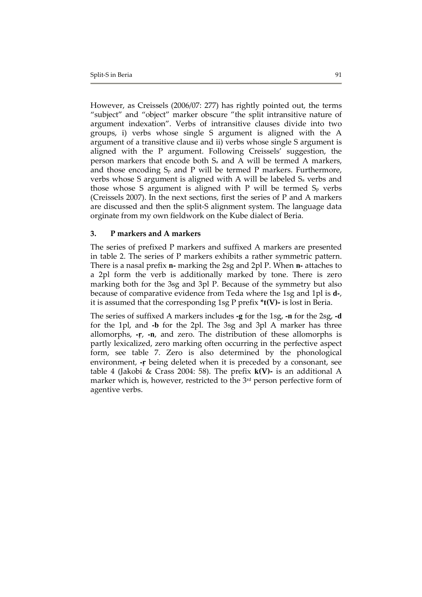However, as Creissels (2006/07: 277) has rightly pointed out, the terms "subject" and "object" marker obscure "the split intransitive nature of argument indexation". Verbs of intransitive clauses divide into two groups, i) verbs whose single S argument is aligned with the A argument of a transitive clause and ii) verbs whose single S argument is aligned with the P argument. Following Creissels' suggestion, the person markers that encode both Sa and A will be termed A markers, and those encoding  $S_p$  and P will be termed P markers. Furthermore, verbs whose S argument is aligned with A will be labeled Sa verbs and those whose S argument is aligned with P will be termed  $S_p$  verbs (Creissels 2007). In the next sections, first the series of P and A markers are discussed and then the split-S alignment system. The language data orginate from my own fieldwork on the Kube dialect of Beria.

## **3. P markers and A markers**

The series of prefixed P markers and suffixed A markers are presented in table 2. The series of P markers exhibits a rather symmetric pattern. There is a nasal prefix **n-** marking the 2sg and 2pl P. When **n-** attaches to a 2pl form the verb is additionally marked by tone. There is zero marking both for the 3sg and 3pl P. Because of the symmetry but also because of comparative evidence from Teda where the 1sg and 1pl is **d-**, it is assumed that the corresponding 1sg P prefix **\*t(V)-** is lost in Beria.

The series of suffixed A markers includes **-g** for the 1sg, **-n** for the 2sg, **-d** for the 1pl, and **-b** for the 2pl. The 3sg and 3pl A marker has three allomorphs, **-r**, **-n**, and zero. The distribution of these allomorphs is partly lexicalized, zero marking often occurring in the perfective aspect form, see table 7. Zero is also determined by the phonological environment, **-r** being deleted when it is preceded by a consonant, see table 4 (Jakobi & Crass 2004: 58). The prefix **k(V)-** is an additional A marker which is, however, restricted to the 3<sup>rd</sup> person perfective form of agentive verbs.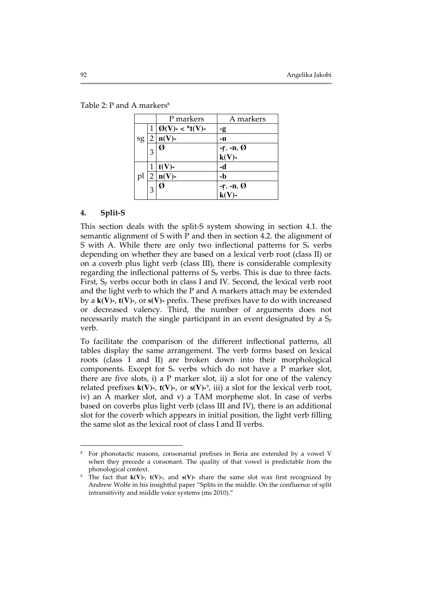Table 2:  $P$  and A markers<sup>8</sup>

|    |   | P markers                                  | A markers           |
|----|---|--------------------------------------------|---------------------|
|    |   |                                            |                     |
|    | 1 | $  \emptyset(V) - \langle *t(V) - \rangle$ | -g                  |
| sg |   | $2 \ln(V)$ -                               | -n                  |
|    | 3 | Ø                                          | $-r, -n, \emptyset$ |
|    | 1 | $t(V)$ -                                   | -d                  |
| pl |   | $2 \ln(V)$ -                               | -b                  |
|    | 3 | Ø                                          | $-r, -n, \emptyset$ |

## **4. Split-S**

l.

This section deals with the split-S system showing in section 4.1. the semantic alignment of S with P and then in section 4.2. the alignment of S with A. While there are only two inflectional patterns for S<sub>a</sub> verbs depending on whether they are based on a lexical verb root (class II) or on a coverb plus light verb (class III), there is considerable complexity regarding the inflectional patterns of  $S_p$  verbs. This is due to three facts. First,  $S_p$  verbs occur both in class I and IV. Second, the lexical verb root and the light verb to which the P and A markers attach may be extended by a **k(V)-**, **t(V)-**, or **s(V)-** prefix. These prefixes have to do with increased or decreased valency. Third, the number of arguments does not necessarily match the single participant in an event designated by a S<sup>p</sup> verb.

To facilitate the comparison of the different inflectional patterns, all tables display the same arrangement. The verb forms based on lexical roots (class I and II) are broken down into their morphological components. Except for Sa verbs which do not have a P marker slot, there are five slots, i) a P marker slot, ii) a slot for one of the valency related prefixes **k(V)-**, **t(V)-**, or **s(V)-**<sup>9</sup> , iii) a slot for the lexical verb root, iv) an A marker slot, and v) a TAM morpheme slot. In case of verbs based on coverbs plus light verb (class III and IV), there is an additional slot for the coverb which appears in initial position, the light verb filling the same slot as the lexical root of class I and II verbs.

<sup>8</sup> For phonotactic reasons, consonantal prefixes in Beria are extended by a vowel V when they precede a consonant. The quality of that vowel is predictable from the phonological context.

<sup>9</sup> The fact that **k(V)-**, **t(V)-**, and **s(V)-** share the same slot was first recognized by Andrew Wolfe in his insightful paper "Splits in the middle. On the confluence of split intransitivity and middle voice systems (ms 2010)."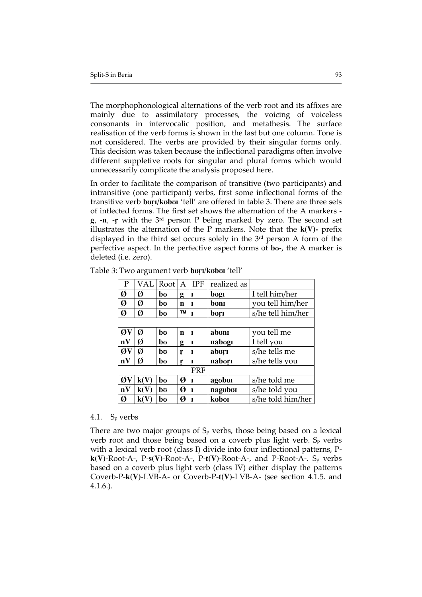The morphophonological alternations of the verb root and its affixes are mainly due to assimilatory processes, the voicing of voiceless consonants in intervocalic position, and metathesis. The surface realisation of the verb forms is shown in the last but one column. Tone is not considered. The verbs are provided by their singular forms only. This decision was taken because the inflectional paradigms often involve different suppletive roots for singular and plural forms which would unnecessarily complicate the analysis proposed here.

In order to facilitate the comparison of transitive (two participants) and intransitive (one participant) verbs, first some inflectional forms of the transitive verb **bor** $\frac{I}{k}$  **boro** 'tell' are offered in table 3. There are three sets of inflected forms. The first set shows the alternation of the A markers  **g**, **-n**, **-** with the 3rd person P being marked by zero. The second set illustrates the alternation of the P markers. Note that the **k(V)-** prefix displayed in the third set occurs solely in the  $3<sup>rd</sup>$  person A form of the perfective aspect. In the perfective aspect forms of **bu**-, the A marker is deleted (i.e. zero).

| $\overline{P}$ | VAL  | Root                   | А           | <b>IPF</b>  | realized as |                   |
|----------------|------|------------------------|-------------|-------------|-------------|-------------------|
| Ø              | Ø    | bσ                     | g           | I           | bogi        | I tell him/her    |
| Ø              | Ø    | bo                     | $\mathbf n$ | I           | boni        | you tell him/her  |
| Ø              | Ø    | bo                     | TM          | I           | bori        | s/he tell him/her |
|                |      |                        |             |             |             |                   |
| ØV             | Ø    | bʊ                     | $\mathbf n$ | $\mathbf I$ | aboni       | you tell me       |
| nV             | Ø    | $\mathbf{b}\mathbf{v}$ | g           | I           | nabogi      | I tell you        |
| ØV             | Ø    | bo                     | r           | I           | abori       | s/he tells me     |
| nV             | Ø    | bo                     | r           | I           | nabori      | s/he tells you    |
|                |      |                        |             | PRF         |             |                   |
| ØV             | k(V) | bo                     | Ø           | I           | agobor      | s/he told me      |
| nV             | k(V) | bʊ                     | Ø           | I           | nagobor     | s/he told you     |
| Ø              | k(V) | bo                     | Ø           | I           | kobor       | s/he told him/her |

Table 3: Two argument verb **bori/koboi** 'tell'

#### 4.1. Sp verbs

There are two major groups of  $S_p$  verbs, those being based on a lexical verb root and those being based on a coverb plus light verb.  $S_p$  verbs with a lexical verb root (class I) divide into four inflectional patterns, P**k(V)**-Root-A-, P-**s(V)**-Root-A-, P-**t(V)**-Root-A-, and P-Root-A-. Sp verbs based on a coverb plus light verb (class IV) either display the patterns Coverb-P-**k(V)**-LVB-A- or Coverb-P-**t(V)**-LVB-A- (see section 4.1.5. and 4.1.6.).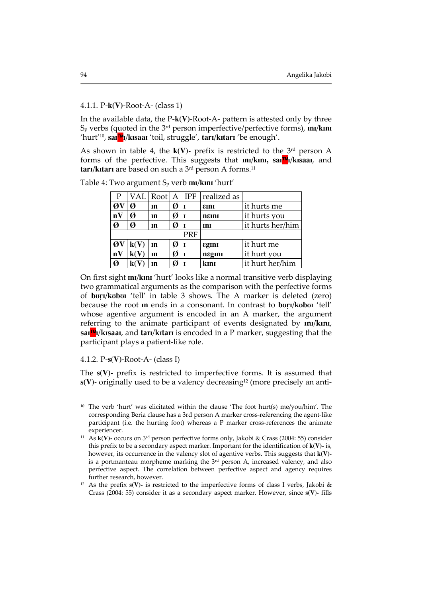### 4.1.1. P-**k(V)**-Root-A- (class 1)

In the available data, the P-**k(V)**-Root-A- pattern is attested only by three S<sub>p</sub> verbs (quoted in the 3<sup>rd</sup> person imperfective/perfective forms), **m**/**km** 'hurt'<sup>10</sup> , **sa‹‹**/**k‹saa‹** 'toil, struggle', **tar‹**/**k‹tar‹** 'be enough'.

As shown in table 4, the **k(V)-** prefix is restricted to the 3rd person A forms of the perfective. This suggests that **m**/**kini**, sar<sup>*M*</sup><sup>*k*</sup>**kisaai**, and **tarı/kıtarı** are based on such a 3<sup>rd</sup> person A forms.<sup>11</sup>

| P  | VAL                      | Root         | A | <b>IPF</b>     | realized as |                  |
|----|--------------------------|--------------|---|----------------|-------------|------------------|
| ØV | Ø                        | $\mathbf{m}$ | Ø |                | <b>EINI</b> | it hurts me      |
| nV | Ø                        | $\mathbf{m}$ | Ø |                | neini       | it hurts you     |
| Ø  | Ø                        | $\mathbf{m}$ | Ø |                | InI         | it hurts her/him |
|    |                          |              |   | PRF            |             |                  |
| ØV | $\mathbf{k}(\mathbf{V})$ | m            | Ø | $\blacksquare$ | Egini       | it hurt me       |
| nV | k(V                      | m            | Ø | $\blacksquare$ | negini      | it hurt you      |
| Ø  |                          | m            |   |                | kını        | it hurt her/him  |
|    |                          |              |   |                |             |                  |

Table 4: Two argument S<sub>p</sub> verb **m**/**km** 'hurt'

On first sight **m**/*km*<sup>*'hurt'* looks like a normal transitive verb displaying</sup> two grammatical arguments as the comparison with the perfective forms of **b͋**/**kÍbÍ‹** 'tell' in table 3 shows. The A marker is deleted (zero) because the root **in** ends in a consonant. In contrast to **buri/kubui** 'tell' whose agentive argument is encoded in an A marker, the argument referring to the animate participant of events designated by  $\text{nn/knn}$ , **sai**<sup>**<sup>th</sup>**</sup>*l***ksaai**, and **tari**/**kitari** is encoded in a P marker, suggesting that the participant plays a patient-like role.

### 4.1.2. P-**s(V)**-Root-A- (class I)

l.

The **s(V)-** prefix is restricted to imperfective forms. It is assumed that **s(V)**- originally used to be a valency decreasing<sup>12</sup> (more precisely an anti-

<sup>&</sup>lt;sup>10</sup> The verb 'hurt' was elicitated within the clause 'The foot hurt(s) me/you/him'. The corresponding Beria clause has a 3rd person A marker cross-referencing the agent-like participant (i.e. the hurting foot) whereas a P marker cross-references the animate experiencer.

<sup>11</sup> As **k(V)-** occurs on 3rd person perfective forms only, Jakobi & Crass (2004: 55) consider this prefix to be a secondary aspect marker. Important for the identification of **k(V)-** is, however, its occurrence in the valency slot of agentive verbs. This suggests that **k(V)** is a portmanteau morpheme marking the 3<sup>rd</sup> person A, increased valency, and also perfective aspect. The correlation between perfective aspect and agency requires further research, however.

<sup>12</sup> As the prefix **s(V)-** is restricted to the imperfective forms of class I verbs, Jakobi & Crass (2004: 55) consider it as a secondary aspect marker. However, since **s(V)-** fills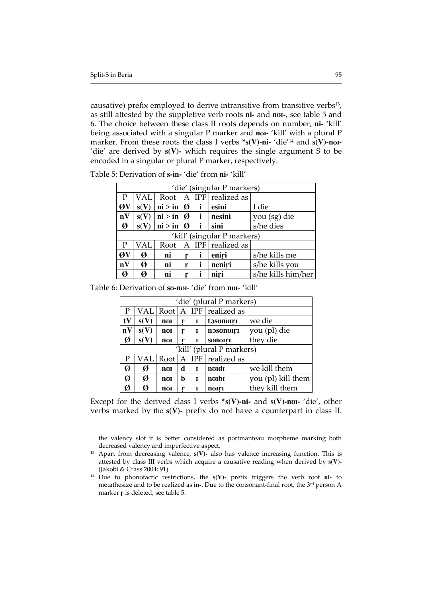l.

causative) prefix employed to derive intransitive from transitive verbs<sup>13</sup>, as still attested by the suppletive verb roots **ni-** and **n͋-**, see table 5 and 6. The choice between these class II roots depends on number, **ni-** 'kill' being associated with a singular P marker and **n͋-** 'kill' with a plural P marker. From these roots the class I verbs  $*$ **s(V)-ni-** 'die'<sup>14</sup> and **s(V)-n** $\sigma$ -'die' are derived by **s(V)-** which requires the single argument S to be encoded in a singular or plural P marker, respectively.

|              | 'die' (singular P markers) |                       |                            |   |                             |                    |  |
|--------------|----------------------------|-----------------------|----------------------------|---|-----------------------------|--------------------|--|
| P            | VAL                        | Root                  | $\boldsymbol{A}$           |   | <b>IPF</b> realized as      |                    |  |
| ØV           | s(V)                       | ni > in               | $\boldsymbol{\emptyset}$   | i | esini                       | I die              |  |
| nV           | s(V)                       | ni > in               | $\boldsymbol{\mathcal{O}}$ | i | nesini                      | you (sg) die       |  |
| Ø            | s(V)                       | $ni > in   \emptyset$ |                            | i | sini                        | s/he dies          |  |
|              |                            |                       |                            |   | 'kill' (singular P markers) |                    |  |
| $\mathbf{P}$ | <b>VAL</b>                 | Root                  | Α                          |   | IPF realized as             |                    |  |
| ØV           | Ø                          | ni                    | r                          | Ť | eniri                       | s/he kills me      |  |
| nV           | Ø                          | ni                    | r                          |   | neniri                      | s/he kills you     |  |
| Ø            | Ø                          | ni                    | r                          |   | niri                        | s/he kills him/her |  |

Table 5: Derivation of **s-in-** 'die' from **ni-** 'kill'

Table 6: Derivation of sv-nu-'die' from nu-'kill'

|              | 'die' (plural P markers) |      |   |   |                           |                    |  |
|--------------|--------------------------|------|---|---|---------------------------|--------------------|--|
| $\mathbf{P}$ | VAL                      | Root | A |   | <b>IPF</b> realized as    |                    |  |
| tV           | s(V)                     | nui  | r | I | tosonoiri                 | we die             |  |
| nV           | s(V)                     | nui  | r | I | nosunuiri                 | you (pl) die       |  |
| Ø            | s(V)                     | noi  | r | I | <b>SUNUIFI</b>            | they die           |  |
|              |                          |      |   |   | 'kill' (plural P markers) |                    |  |
| P            | VAL                      | Root | Α |   | IPF realized as           |                    |  |
| Ø            | Ø                        | nui  | d | I | noidi                     | we kill them       |  |
| Ø            | Ø                        | noi  | b | I | noıbı                     | you (pl) kill them |  |
| Ø            | Ø                        | noi  | r | I | noiri                     | they kill them     |  |

Except for the derived class I verbs \***s(V)-ni-** and **s(V)-noi-** 'die', other verbs marked by the **s(V)-** prefix do not have a counterpart in class II.

the valency slot it is better considered as portmanteau morpheme marking both decreased valency and imperfective aspect.

<sup>&</sup>lt;sup>13</sup> Apart from decreasing valence,  $s(V)$ - also has valence increasing function. This is attested by class III verbs which acquire a causative reading when derived by **s(V)-** (Jakobi & Crass 2004: 91).

<sup>14</sup> Due to phonotactic restrictions, the **s(V)-** prefix triggers the verb root **ni-** to metathesize and to be realized as **in-**. Due to the consonant-final root, the 3rd person A marker **r** is deleted, see table 5.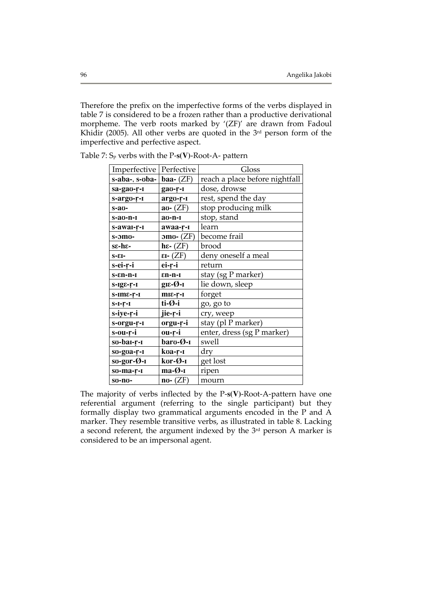Therefore the prefix on the imperfective forms of the verbs displayed in table 7 is considered to be a frozen rather than a productive derivational morpheme. The verb roots marked by '(ZF)' are drawn from Fadoul Khidir (2005). All other verbs are quoted in the  $3<sup>rd</sup>$  person form of the imperfective and perfective aspect.

| Imperfective                      | Perfective                      | Gloss                          |  |
|-----------------------------------|---------------------------------|--------------------------------|--|
| s-aba-, s-ʊba-  <br>baa- $(ZF)$   |                                 | reach a place before nightfall |  |
| sa-gao-r-1                        | gau-r-I                         | dose, drowse                   |  |
| s-argo-r-I                        | argo-r-1                        | rest, spend the day            |  |
| s-aʊ-                             | $av - (ZF)$                     | stop producing milk            |  |
| s-av-n-1                          | av-n-i                          | stop, stand                    |  |
| s-awai-r-i                        | awaa-r-1                        | learn                          |  |
| ร-วmข-                            | $\mathbf{om}$ . $(ZF)$          | become frail                   |  |
| se-he-                            | $h\epsilon$ - (ZF)              | brood                          |  |
| $S-EL-$                           | $\epsilon I$ - (ZF)             | deny oneself a meal            |  |
| s-ei-r-i                          | ei-r-i                          | return                         |  |
| s-en-n-ı                          | $en-n-1$                        | stay (sg P marker)             |  |
| $s$ - $1g\varepsilon$ - $r$ - $1$ | $gr. 0 - r$                     | lie down, sleep                |  |
| $s$ - $m\varepsilon$ - $r$ - $r$  | $mE-T-I$                        | forget                         |  |
| $S-I-T-I$                         | ti-Ø-i                          | go, go to                      |  |
| s-iye-r-i                         | jie-r-i                         | cry, weep                      |  |
| s-orgu-r-I                        | orgu-r-i                        | stay (pl P marker)             |  |
| s-ou-r-i                          | ou-r-i                          | enter, dress (sg P marker)     |  |
| so-bai-r-i                        | baro-Ø-1                        | swell                          |  |
| so-goa-r-I                        | kva-r-ı                         | dry                            |  |
| sʊ-gʊr-Ø-ɪ                        | kvr-Ø-1                         | get lost                       |  |
| so-ma-r-1                         | $ma-O-I$                        | ripen                          |  |
| <b>SU-NU-</b>                     | $\mathbf{n}\mathbf{v}$ - $(ZF)$ | mourn                          |  |

Table 7: Sp verbs with the P-**s(V)**-Root-A- pattern

The majority of verbs inflected by the P-**s(V)**-Root-A-pattern have one referential argument (referring to the single participant) but they formally display two grammatical arguments encoded in the P and A marker. They resemble transitive verbs, as illustrated in table 8. Lacking a second referent, the argument indexed by the 3<sup>rd</sup> person A marker is considered to be an impersonal agent.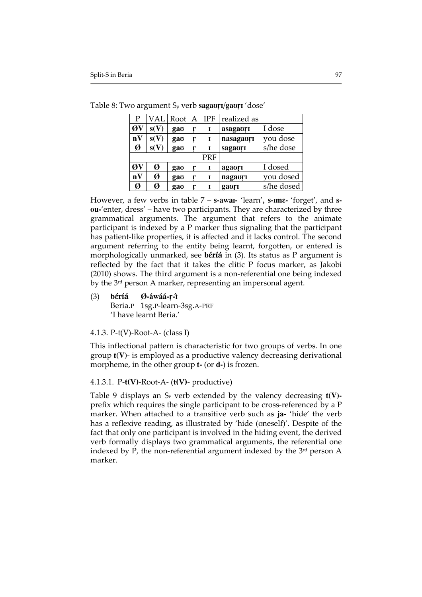| P  | VAL  | Root | A | <b>IPF</b> | realized as |            |
|----|------|------|---|------------|-------------|------------|
| ØV | s(V) | gau  | ŗ | 1          | asagaori    | I dose     |
| nV | s(V) | gau  | r | 1          | nasagaori   | you dose   |
| Ø  | s(V) | gau  | ŗ |            | sagaori     | s/he dose  |
|    |      |      |   | <b>PRF</b> |             |            |
| ØV | Ø    | gau  | ŗ | ī          | agauri      | I dosed    |
| nV | Ø    | gau  | ŗ | I          | nagaori     | you dosed  |
| Ø  | Ø    | gau  | r |            | gauri       | s/he dosed |

Table 8: Two argument S<sub>p</sub> verb sagauri/gauri 'dose'

However, a few verbs in table  $7 - s$ -awai- 'learn',  $s$ -ime- 'forget', and s**ou-**'enter, dress' ‒ have two participants. They are characterized by three grammatical arguments. The argument that refers to the animate participant is indexed by a P marker thus signaling that the participant has patient-like properties, it is affected and it lacks control. The second argument referring to the entity being learnt, forgotten, or entered is morphologically unmarked, see **béríá** in (3). Its status as P argument is reflected by the fact that it takes the clitic P focus marker, as Jakobi (2010) shows. The third argument is a non-referential one being indexed by the 3rd person A marker, representing an impersonal agent.

 $(3)$  **béríá**  $\emptyset$ **-áwáá-r-î**  Beria.P 1sg.P-learn-3sg.A-PRF 'I have learnt Beria.'

4.1.3. P-t(V)-Root-A- (class I)

This inflectional pattern is characteristic for two groups of verbs. In one group **t(V)**- is employed as a productive valency decreasing derivational morpheme, in the other group **t-** (or **d-**) is frozen.

### 4.1.3.1. P-**t(V)**-Root-A- (**t(V)**- productive)

Table 9 displays an  $S_{\rm F}$  verb extended by the valency decreasing  $t(V)$ prefix which requires the single participant to be cross-referenced by a P marker. When attached to a transitive verb such as **ja-** 'hide' the verb has a reflexive reading, as illustrated by 'hide (oneself)'. Despite of the fact that only one participant is involved in the hiding event, the derived verb formally displays two grammatical arguments, the referential one indexed by P, the non-referential argument indexed by the  $3<sup>rd</sup>$  person A marker.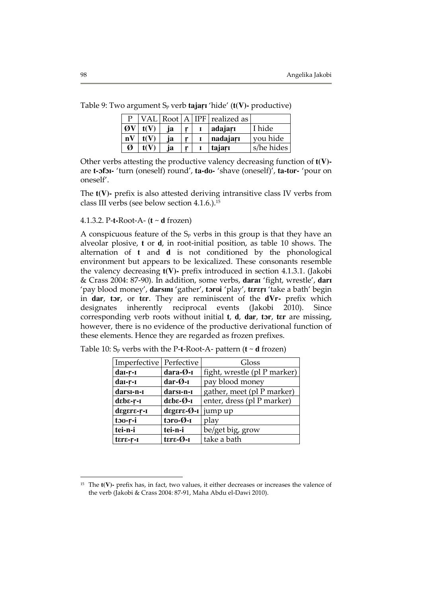| P  |    |  | $ VAL $ Root $ A $ IPF   realized as |            |
|----|----|--|--------------------------------------|------------|
| ØV | ja |  | adajarı                              | I hide     |
| nV | ia |  | nadajarı                             | you hide   |
| Ø  | ia |  | tajarı                               | s/he hides |

Table 9: Two argument S<sub>p</sub> verb **tajari** 'hide' (**t**(**V**)- productive)

Other verbs attesting the productive valency decreasing function of **t(V)** are **t-ofoi-** 'turn (oneself) round', **ta-du-** 'shave (oneself)', **ta-tur-** 'pour on oneself'.

The **t(V)-** prefix is also attested deriving intransitive class IV verbs from class III verbs (see below section 4.1.6.).<sup>15</sup>

### 4.1.3.2. P-**t-**Root-A- (**t** ~ **d** frozen)

A conspicuous feature of the  $S_p$  verbs in this group is that they have an alveolar plosive, **t** or **d**, in root-initial position, as table 10 shows. The alternation of **t** and **d** is not conditioned by the phonological environment but appears to be lexicalized. These consonants resemble the valency decreasing **t(V)-** prefix introduced in section 4.1.3.1. (Jakobi & Crass 2004: 87-90). In addition, some verbs, **dara‹** 'fight, wrestle', **dar‹** 'pay blood money', darsini 'gather', torui 'play', tereri 'take a bath' begin in dar, tor, or ter. They are reminiscent of the dVr- prefix which designates inherently reciprocal events (Jakobi 2010). Since corresponding verb roots without initial **t**, **d**, **dar**, **tor**, **ter** are missing, however, there is no evidence of the productive derivational function of these elements. Hence they are regarded as frozen prefixes.

| Imperfective Perfective                             |                               | Gloss                        |  |
|-----------------------------------------------------|-------------------------------|------------------------------|--|
| da <sub>I</sub> -r-I                                | $dara-\emptyset-\iota$        | fight, wrestle (pl P marker) |  |
| $dar-Ø-I$<br>da <sub>I</sub> -r-I                   |                               | pay blood money              |  |
| darsi-n-I                                           | darsi-n-i                     | gather, meet (pl P marker)   |  |
| debe-r-I                                            | $d\epsilon b\epsilon - Q - I$ | enter, dress (pl P marker)   |  |
| degere-r-I                                          | $degree-$ <i>O-I</i>          | jump up                      |  |
| tov-r-i                                             | $toru-Q-I$                    | play                         |  |
| tei-n-i<br>tei-n-i                                  |                               | be/get big, grow             |  |
| $t$ <i>ere-<math>\emptyset</math>-i</i><br>tere-r-I |                               | take a bath                  |  |

Table 10:  $S_p$  verbs with the P-t-Root-A- pattern ( $t \sim d$  frozen)

l.

<sup>15</sup> The **t(V)-** prefix has, in fact, two values, it either decreases or increases the valence of the verb (Jakobi & Crass 2004: 87-91, Maha Abdu el-Dawi 2010).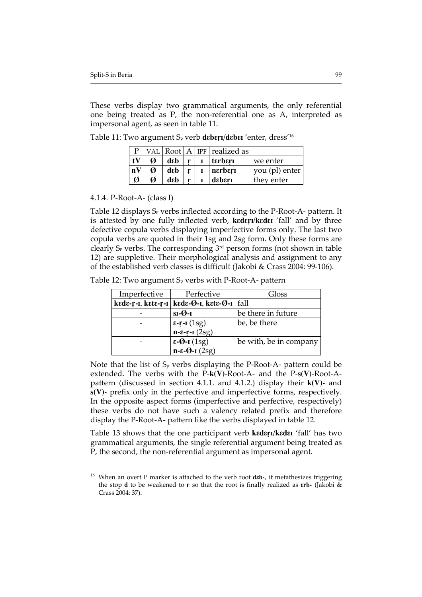These verbs display two grammatical arguments, the only referential one being treated as P, the non-referential one as A, interpreted as impersonal agent, as seen in table 11.

|              |   |               |   | $P$   VAL   Root   A   IPF   realized as |                |
|--------------|---|---------------|---|------------------------------------------|----------------|
| $\mathbf{t}$ | Ø | $d\epsilon b$ |   | $r \mid I$   terberi                     | we enter       |
| nV           | Ø | dεb           | r | nerberi                                  | vou (pl) enter |
| Ø            | Ø | dah           | r | deberi                                   | they enter     |

Table 11: Two argument S<sub>p</sub> verb deberi/debei 'enter, dress<sup>'16</sup>

4.1.4. P-Root-A- (class I)

 $\overline{a}$ 

Table 12 displays  $S_P$  verbs inflected according to the P-Root-A- pattern. It is attested by one fully inflected verb, **kederi** keder 'fall' and by three defective copula verbs displaying imperfective forms only. The last two copula verbs are quoted in their 1sg and 2sg form. Only these forms are clearly S<sub>P</sub> verbs. The corresponding  $3<sup>rd</sup>$  person forms (not shown in table 12) are suppletive. Their morphological analysis and assignment to any of the established verb classes is difficult (Jakobi & Crass 2004: 99-106).

Table 12: Two argument  $S_p$  verbs with P-Root-A- pattern

| Imperfective | Perfective                                                                | Gloss                  |
|--------------|---------------------------------------------------------------------------|------------------------|
|              | kede-r-i, kete-r-i   kede-Ø-i, kete-Ø-i   fall                            |                        |
|              | $SI-Ø-I$                                                                  | be there in future     |
|              | $\epsilon$ -r-I (1sg)                                                     | be, be there           |
|              | $\mathbf{n}$ - $\mathbf{\varepsilon}$ - $\mathbf{r}$ - $\mathbf{i}$ (2sg) |                        |
|              | $\epsilon$ -Ø-1 (1sg)<br>n- $\epsilon$ -Ø-1 (2sg)                         | be with, be in company |
|              |                                                                           |                        |

Note that the list of  $S_p$  verbs displaying the P-Root-A- pattern could be extended. The verbs with the P-**k(V)**-Root-A- and the P-**s(V)**-Root-Apattern (discussed in section 4.1.1. and 4.1.2.) display their **k(V)-** and **s(V)-** prefix only in the perfective and imperfective forms, respectively. In the opposite aspect forms (imperfective and perfective, respectively) these verbs do not have such a valency related prefix and therefore display the P-Root-A- pattern like the verbs displayed in table 12.

Table 13 shows that the one participant verb **kederi**/**kedei** 'fall' has two grammatical arguments, the single referential argument being treated as P, the second, the non-referential argument as impersonal agent.

<sup>&</sup>lt;sup>16</sup> When an overt P marker is attached to the verb root deb-, it metathesizes triggering the stop **d** to be weakened to **r** so that the root is finally realized as  $\epsilon$ **rb**- (Jakobi & Crass 2004: 37).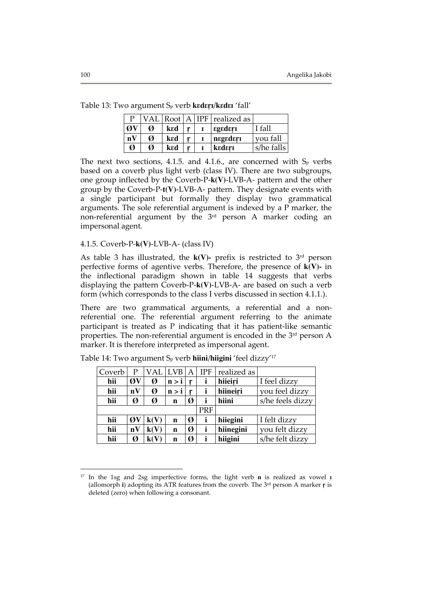Table 13: Two argument S<sub>p</sub> verb **k**ederi/**kedei** 'fall'

| D  |   |     |   | VAL   $Root$   $A$   IPF   realized as  |            |
|----|---|-----|---|-----------------------------------------|------------|
| ØV | Ø | kεd |   | $\epsilon$ g $\epsilon$ d $\epsilon$ rı | I fall     |
| nV | Ø | ked |   | negederi                                | you fall   |
| Ø  | Ø | kεd | r | kadari                                  | s/he falls |

The next two sections, 4.1.5. and 4.1.6., are concerned with  $S_p$  verbs based on a coverb plus light verb (class IV). There are two subgroups, one group inflected by the Coverb-P-**k(V)**-LVB-A- pattern and the other group by the Coverb-P-**t(V)**-LVB-A- pattern. They designate events with a single participant but formally they display two grammatical arguments. The sole referential argument is indexed by a P marker, the non-referential argument by the  $3<sup>rd</sup>$  person A marker coding an impersonal agent.

#### 4.1.5. Coverb-P-**k(V)**-LVB-A- (class IV)

As table 3 has illustrated, the  $k(V)$ - prefix is restricted to  $3<sup>rd</sup>$  person perfective forms of agentive verbs. Therefore, the presence of **k(V)-** in the inflectional paradigm shown in table 14 suggests that verbs displaying the pattern Coverb-P-**k(V)**-LVB-A- are based on such a verb form (which corresponds to the class I verbs discussed in section 4.1.1.).

There are two grammatical arguments, a referential and a nonreferential one. The referential argument referring to the animate participant is treated as P indicating that it has patient-like semantic properties. The non-referential argument is encoded in the 3rd person A marker. It is therefore interpreted as impersonal agent.

| Coverb | P  | VAL                      | <b>LVB</b> | $\mathsf{A}$ | <b>IPF</b> | realized as |                  |
|--------|----|--------------------------|------------|--------------|------------|-------------|------------------|
| hii    | ØV | Ø                        | n > i      | r            |            | hiieiri     | I feel dizzy     |
| hii    | nV | Ø                        | n > i      |              |            | hiineiri    | you feel dizzy   |
| hii    | Ø  | Ø                        | n          | Ø            |            | hiini       | s/he feels dizzy |
|        |    |                          |            |              | PRF        |             |                  |
| hii    | ØV | k(V)                     | n          | Ø            |            | hiiegini    | I felt dizzy     |
| hii    | nV | $\mathbf{k}(\mathbf{V})$ | n          | Ø            |            | hiinegini   | you felt dizzy   |
| hii    | Ø  |                          | n          | Ø            |            | hiigini     | s/he felt dizzy  |

Table 14: Two argument Sp verb **hiini**/**hiigini** 'feel dizzy'<sup>17</sup>

 $\overline{a}$ 

In the 1sg and 2sg imperfective forms, the light verb **n** is realized as vowel **i** (allomorph **i**) adopting its ATR features from the coverb. The 3rd person A marker is deleted (zero) when following a consonant.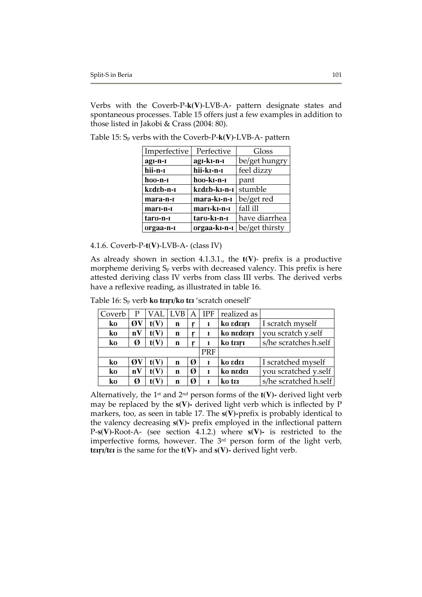Verbs with the Coverb-P-**k(V)**-LVB-A- pattern designate states and spontaneous processes. Table 15 offers just a few examples in addition to those listed in Jakobi & Crass (2004: 80).

| Imperfective | Perfective   | Gloss          |
|--------------|--------------|----------------|
| agi-n-i      | agi-ki-n-i   | be/get hungry  |
| hii-n-I      | hii-kı-n-ı   | feel dizzy     |
| hoo-n-1      | hoo-ki-n-i   | pant           |
| kedeb-n-1    | kedeb-kı-n-ı | stumble        |
| mara-n-I     | mara-kı-n-ı  | be/get red     |
| mari-n-i     | mari-ki-n-i  | fall ill       |
| taro-n-      | taro-ki-n-i  | have diarrhea  |
| orgaa-n-I    | orgaa-ki-n-i | be/get thirsty |

Table 15: Sp verbs with the Coverb-P-**k(V)**-LVB-A- pattern

4.1.6. Coverb-P-**t(V)**-LVB-A- (class IV)

As already shown in section 4.1.3.1., the **t(V)**- prefix is a productive morpheme deriving  $S_p$  verbs with decreased valency. This prefix is here attested deriving class IV verbs from class III verbs. The derived verbs have a reflexive reading, as illustrated in table 16.

Table 16: S<sub>p</sub> verb **ku terri/ku ter** 'scratch oneself'

| Coverb | P  | VAL  | <b>LVB</b>  | A | <b>IPF</b> | realized as      |                       |
|--------|----|------|-------------|---|------------|------------------|-----------------------|
| kv     | ØV | t(V) | n           | r |            | ko <i>ederri</i> | I scratch myself      |
| kv     | nV |      | n           | r |            | ko nederri       | you scratch y.self    |
| ko     | Ø  |      | n           | r |            | ko teiri         | s/he scratches h.self |
|        |    |      |             |   | <b>PRF</b> |                  |                       |
| kv     | ØV |      | n           | Ø |            | ko eder          | I scratched myself    |
| kυ     | nV | t(V) | $\mathbf n$ | Ø | T          | ko neder         | you scratched y.self  |
| kv     | Ø  |      | n           | Ø |            | ko ter           | s/he scratched h.self |

Alternatively, the 1<sup>st</sup> and 2<sup>nd</sup> person forms of the  $t(V)$ - derived light verb may be replaced by the **s(V)-** derived light verb which is inflected by P markers, too, as seen in table 17. The **s(V)-**prefix is probably identical to the valency decreasing **s(V)-** prefix employed in the inflectional pattern P-**s(V)**-Root-A- (see section 4.1.2.) where **s(V)-** is restricted to the imperfective forms, however. The  $3<sup>rd</sup>$  person form of the light verb,  $\text{terr}/\text{ter}$  is the same for the  $\text{t}(V)$ - and  $\text{s}(V)$ - derived light verb.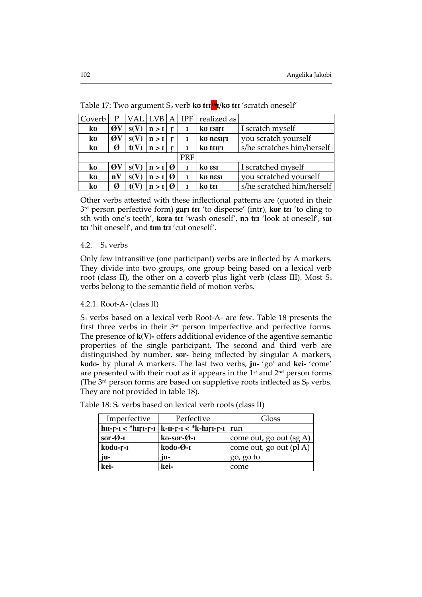| Coverb | Р  |                          | VAL LVB   A |   | <b>IPF</b> | realized as |                            |
|--------|----|--------------------------|-------------|---|------------|-------------|----------------------------|
| kv     | ØV | $\mathbf{s}(\mathbf{V})$ | n > I       | r | $\bf{I}$   | ku esiri    | I scratch myself           |
| ko     | ØV | $\mathbf{s}(\mathbf{V})$ | n > 1       | r |            | ko nesiri   | you scratch yourself       |
| ko     | Ø  |                          | n > I       | r |            | ko teiri    | s/he scratches him/herself |
|        |    |                          |             |   | <b>PRF</b> |             |                            |
| ko     | ØV |                          | n > 1       | Ø | 1          | ku esi      | I scratched myself         |
| ko     | nV | $\mathbf{s}(\mathbf{V})$ | n > 1       | Ø | L          | ko nesi     | you scratched yourself     |
| ko     | Ø  |                          | n > I       |   |            | ko tei      | s/he scratched him/herself |

Table 17: Two argument S<sub>p</sub> verb ku tar<sup>n</sup>I/ku tar 'scratch oneself'

Other verbs attested with these inflectional patterns are (quoted in their 3<sup>rd</sup> person perfective form) **gari tei** 'to disperse' (intr), **kur tei** 'to cling to sth with one's teeth', kura ter 'wash oneself', no ter 'look at oneself', sar ter 'hit oneself', and tim ter 'cut oneself'.

## 4.2. Sa verbs

Only few intransitive (one participant) verbs are inflected by A markers. They divide into two groups, one group being based on a lexical verb root (class II), the other on a coverb plus light verb (class III). Most S<sup>a</sup> verbs belong to the semantic field of motion verbs.

### 4.2.1. Root-A- (class II)

Sa verbs based on a lexical verb Root-A- are few. Table 18 presents the first three verbs in their 3rd person imperfective and perfective forms. The presence of **k(V)-** offers additional evidence of the agentive semantic properties of the single participant. The second and third verb are distinguished by number, sor- being inflected by singular A markers, **kudu-** by plural A markers. The last two verbs, ju- 'go' and kei- 'come' are presented with their root as it appears in the  $1<sup>st</sup>$  and  $2<sup>nd</sup>$  person forms (The  $3<sup>rd</sup>$  person forms are based on suppletive roots inflected as  $S<sub>P</sub>$  verbs. They are not provided in table 18).

| Imperfective           | Perfective                                               | Gloss                     |
|------------------------|----------------------------------------------------------|---------------------------|
|                        | $h$ II-r-I < *hIrI-r-I   k-II-r-I < *k-hIrI-r-I   run    |                           |
| $s$ or- $\emptyset$ -I | $kv$ -sur- $Ø$ -I                                        | come out, go out $(sg A)$ |
| kodo-r-1               | $k \ddot{\omega}$ d $\ddot{\omega}$ - $\ddot{\omega}$ -I | come out, go out (pl A)   |
| ju-                    | ju-                                                      | go, go to                 |
| kei-                   | kei-                                                     | come                      |

Table 18: Sa verbs based on lexical verb roots (class II)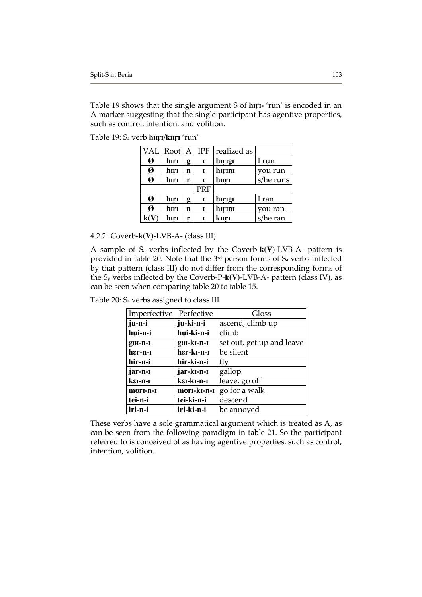Table 19 shows that the single argument S of hiri-'run' is encoded in an A marker suggesting that the single participant has agentive properties, such as control, intention, and volition.

| <b>VAL</b> | Root | $\boldsymbol{A}$ | <b>IPF</b> | realized as |           |
|------------|------|------------------|------------|-------------|-----------|
| Ø          | hırı | g                | I          | hırıgı      | I run     |
| Ø          | hırı | n                |            | hırını      | you run   |
| Ø          | hırı | r                |            | hurı        | s/he runs |
|            |      |                  | PRF        |             |           |
| Ø          | hırı | g                |            | hırıgı      | I ran     |
| Ø          | hırı | n                | Т          | hırını      | you ran   |
|            | hırı | r                |            | kurı        | s/he ran  |

Table 19: S<sub>a</sub> verb **huri/kuri** 'run'

4.2.2. Coverb-**k(V)**-LVB-A- (class III)

A sample of Sa verbs inflected by the Coverb-**k(V)**-LVB-A- pattern is provided in table 20. Note that the 3rd person forms of Sa verbs inflected by that pattern (class III) do not differ from the corresponding forms of the Sp verbs inflected by the Coverb-P-**k(V)**-LVB-A- pattern (class IV), as can be seen when comparing table 20 to table 15.

Table 20: Sa verbs assigned to class III

| Imperfective | Perfective            | Gloss                     |
|--------------|-----------------------|---------------------------|
| ju-n-i       | ju-ki-n-i             | ascend, climb up          |
| hui-n-i      | hui-ki-n-i            | climb                     |
| goi-n-i      | goi-ki-n-i            | set out, get up and leave |
| hɛr-n-ɪ      | her-ki-n-i            | be silent                 |
| hir-n-i      | hir-ki-n-i            | fly                       |
| jar-n-I      | jar-kı-n-ı            | gallop                    |
| kei-n-i      | k $\epsilon$ r-kr-n-r | leave, go off             |
| mori-n-i     | mori-ki-n-i           | go for a walk             |
| tei-n-i      | tei-ki-n-i            | descend                   |
| iri-n-i      | iri-ki-n-i            | be annoyed                |

These verbs have a sole grammatical argument which is treated as A, as can be seen from the following paradigm in table 21. So the participant referred to is conceived of as having agentive properties, such as control, intention, volition.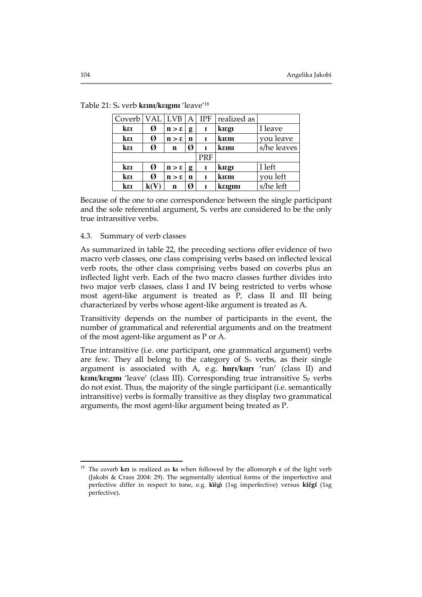| Coverb         | VAL               | <b>LVB</b>        | А | <b>IPF</b> | realized as |             |
|----------------|-------------------|-------------------|---|------------|-------------|-------------|
| $k\varepsilon$ | Ø                 | $n > \varepsilon$ | g | I          | kiegi       | I leave     |
| $k\epsilon$    | Ø                 | $n > \epsilon$    | n |            | kieni       | you leave   |
| $k\epsilon$    | Ø                 | $\mathbf n$       | Ø |            | kann        | s/he leaves |
|                |                   |                   |   | PRF        |             |             |
| $k\epsilon$    | Ø                 | $n > \varepsilon$ | g |            | kiegi       | I left      |
| $k\epsilon$    | Ø                 | $n > \epsilon$    | n |            | kieni       | you left    |
| $k\epsilon$    | ${\bf k}({\bf V}$ | $\mathbf n$       | Ø |            | kargını     | s/he left   |

Table 21: S<sub>a</sub> verb **k***emi*/**k***ergini* 'leave<sup>'18</sup>

Because of the one to one correspondence between the single participant and the sole referential argument, Sa verbs are considered to be the only true intransitive verbs.

### 4.3. Summary of verb classes

As summarized in table 22, the preceding sections offer evidence of two macro verb classes, one class comprising verbs based on inflected lexical verb roots, the other class comprising verbs based on coverbs plus an inflected light verb. Each of the two macro classes further divides into two major verb classes, class I and IV being restricted to verbs whose most agent-like argument is treated as P, class II and III being characterized by verbs whose agent-like argument is treated as A.

Transitivity depends on the number of participants in the event, the number of grammatical and referential arguments and on the treatment of the most agent-like argument as P or A.

True intransitive (i.e. one participant, one grammatical argument) verbs are few. They all belong to the category of  $S_A$  verbs, as their single argument is associated with A, e.g. **huri/kuri** 'run' (class II) and **kem/keigini** 'leave' (class III). Corresponding true intransitive S<sub>p</sub> verbs do not exist. Thus, the majority of the single participant (i.e. semantically intransitive) verbs is formally transitive as they display two grammatical arguments, the most agent-like argument being treated as P.

l.

The coverb **kz** is realized as **kI** when followed by the allomorph  $\epsilon$  of the light verb (Jakobi & Crass 2004: 29). The segmentally identical forms of the imperfective and perfective differ in respect to tone, e.g. **kiègì** (1sg imperfective) versus **kiégí** (1sg perfective).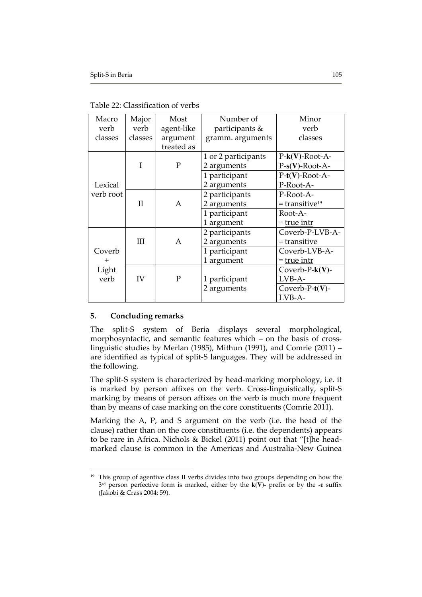| Macro                   | Major        | Most       | Number of           | Minor                        |
|-------------------------|--------------|------------|---------------------|------------------------------|
| verb                    | verb         | agent-like | participants &      | verb                         |
| classes                 | classes      | argument   | gramm. arguments    | classes                      |
|                         |              | treated as |                     |                              |
|                         |              |            | 1 or 2 participants | $P-k(V)$ -Root-A-            |
|                         | T            | P          | 2 arguments         | $P-S(V)$ -Root-A-            |
|                         |              |            | 1 participant       | $P-t(V)$ -Root-A-            |
| Lexical<br>verb root    |              |            | 2 arguments         | P-Root-A-                    |
|                         |              |            | 2 participants      | P-Root-A-                    |
|                         | $\mathbf{I}$ | A          | 2 arguments         | $=$ transitive <sup>19</sup> |
|                         |              |            | 1 participant       | Root-A-                      |
|                         |              |            | 1 argument          | $=$ true intr                |
|                         |              |            | 2 participants      | Coverb-P-LVB-A-              |
|                         | III          | A          | 2 arguments         | = transitive                 |
| Coverb                  |              |            | 1 participant       | Coverb-LVB-A-                |
| $^{+}$<br>Light<br>verb |              |            | 1 argument          | = true intr                  |
|                         |              |            |                     | Coverb- $P-k(V)$ -           |
|                         | IV           | P          | 1 participant       | LVB-A-                       |
|                         |              |            | 2 arguments         | Coverb-P- $t(V)$ -           |
|                         |              |            |                     | LVB-A-                       |

Table 22: Classification of verbs

# **5. Concluding remarks**

 $\overline{a}$ 

The split-S system of Beria displays several morphological, morphosyntactic, and semantic features which – on the basis of crosslinguistic studies by Merlan (1985), Mithun (1991), and Comrie (2011)  $$ are identified as typical of split-S languages. They will be addressed in the following.

The split-S system is characterized by head-marking morphology, i.e. it is marked by person affixes on the verb. Cross-linguistically, split-S marking by means of person affixes on the verb is much more frequent than by means of case marking on the core constituents (Comrie 2011).

Marking the A, P, and S argument on the verb (i.e. the head of the clause) rather than on the core constituents (i.e. the dependents) appears to be rare in Africa. Nichols & Bickel (2011) point out that "[t]he headmarked clause is common in the Americas and Australia-New Guinea

<sup>&</sup>lt;sup>19</sup> This group of agentive class II verbs divides into two groups depending on how the 3<sup>rd</sup> person perfective form is marked, either by the **k(V)**- prefix or by the -**ε** suffix (Jakobi & Crass 2004: 59).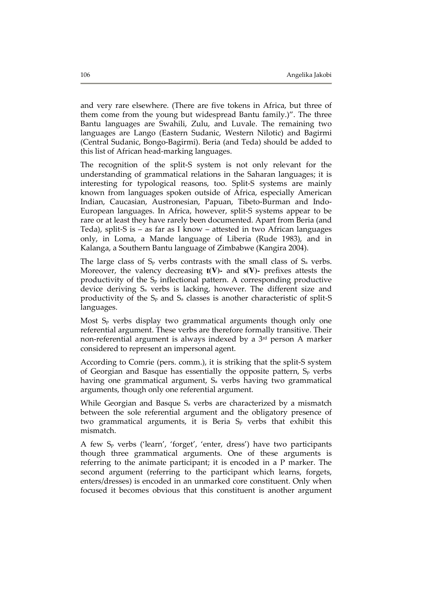and very rare elsewhere. (There are five tokens in Africa, but three of them come from the young but widespread Bantu family.)". The three Bantu languages are Swahili, Zulu, and Luvale. The remaining two languages are Lango (Eastern Sudanic, Western Nilotic) and Bagirmi (Central Sudanic, Bongo-Bagirmi). Beria (and Teda) should be added to this list of African head-marking languages.

The recognition of the split-S system is not only relevant for the understanding of grammatical relations in the Saharan languages; it is interesting for typological reasons, too. Split-S systems are mainly known from languages spoken outside of Africa, especially American Indian, Caucasian, Austronesian, Papuan, Tibeto-Burman and Indo-European languages. In Africa, however, split-S systems appear to be rare or at least they have rarely been documented. Apart from Beria (and Teda), split-S is  $-$  as far as I know  $-$  attested in two African languages only, in Loma, a Mande language of Liberia (Rude 1983), and in Kalanga, a Southern Bantu language of Zimbabwe (Kangira 2004).

The large class of  $S_p$  verbs contrasts with the small class of  $S_a$  verbs. Moreover, the valency decreasing **t(V)-** and **s(V)-** prefixes attests the productivity of the  $S_p$  inflectional pattern. A corresponding productive device deriving Sa verbs is lacking, however. The different size and productivity of the Sp and Sa classes is another characteristic of split-S languages.

Most Sp verbs display two grammatical arguments though only one referential argument. These verbs are therefore formally transitive. Their non-referential argument is always indexed by a  $3<sup>rd</sup>$  person A marker considered to represent an impersonal agent.

According to Comrie (pers. comm.), it is striking that the split-S system of Georgian and Basque has essentially the opposite pattern,  $S_p$  verbs having one grammatical argument, Sa verbs having two grammatical arguments, though only one referential argument.

While Georgian and Basque S<sub>a</sub> verbs are characterized by a mismatch between the sole referential argument and the obligatory presence of two grammatical arguments, it is Beria  $S_p$  verbs that exhibit this mismatch.

A few Sp verbs ('learn', 'forget', 'enter, dress') have two participants though three grammatical arguments. One of these arguments is referring to the animate participant; it is encoded in a P marker. The second argument (referring to the participant which learns, forgets, enters/dresses) is encoded in an unmarked core constituent. Only when focused it becomes obvious that this constituent is another argument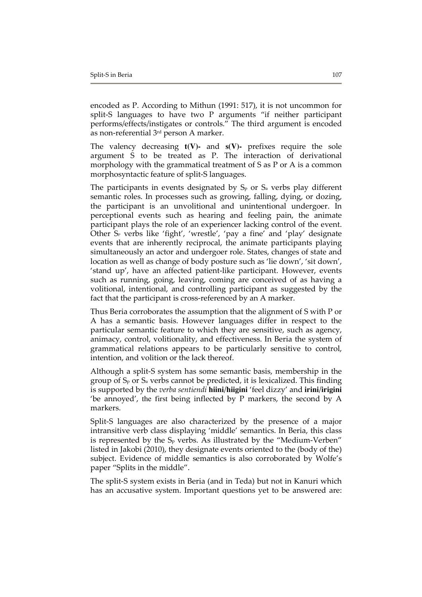encoded as P. According to Mithun (1991: 517), it is not uncommon for split-S languages to have two P arguments "if neither participant performs/effects/instigates or controls." The third argument is encoded as non-referential 3rd person A marker.

The valency decreasing **t(V)-** and **s(V)-** prefixes require the sole argument S to be treated as P. The interaction of derivational morphology with the grammatical treatment of S as P or A is a common morphosyntactic feature of split-S languages.

The participants in events designated by  $S_p$  or  $S_a$  verbs play different semantic roles. In processes such as growing, falling, dying, or dozing, the participant is an unvolitional and unintentional undergoer. In perceptional events such as hearing and feeling pain, the animate participant plays the role of an experiencer lacking control of the event. Other  $S_{P}$  verbs like 'fight', 'wrestle', 'pay a fine' and 'play' designate events that are inherently reciprocal, the animate participants playing simultaneously an actor and undergoer role. States, changes of state and location as well as change of body posture such as 'lie down', 'sit down', 'stand up', have an affected patient-like participant. However, events such as running, going, leaving, coming are conceived of as having a volitional, intentional, and controlling participant as suggested by the fact that the participant is cross-referenced by an A marker.

Thus Beria corroborates the assumption that the alignment of S with P or A has a semantic basis. However languages differ in respect to the particular semantic feature to which they are sensitive, such as agency, animacy, control, volitionality, and effectiveness. In Beria the system of grammatical relations appears to be particularly sensitive to control, intention, and volition or the lack thereof.

Although a split-S system has some semantic basis, membership in the group of  $S_p$  or  $S_a$  verbs cannot be predicted, it is lexicalized. This finding is supported by the *verba sentiendi* **hiini**/**hiigini** 'feel dizzy' and **irini**/**irigini** 'be annoyed', the first being inflected by P markers, the second by A markers.

Split-S languages are also characterized by the presence of a major intransitive verb class displaying 'middle' semantics. In Beria, this class is represented by the S<sub>p</sub> verbs. As illustrated by the "Medium-Verben" listed in Jakobi (2010), they designate events oriented to the (body of the) subject. Evidence of middle semantics is also corroborated by Wolfe's paper "Splits in the middle".

The split-S system exists in Beria (and in Teda) but not in Kanuri which has an accusative system. Important questions yet to be answered are: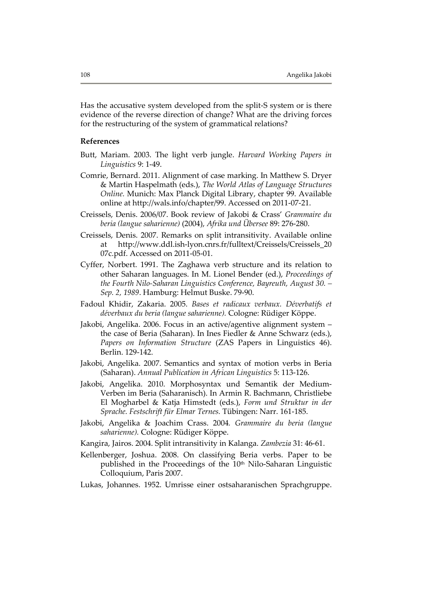Has the accusative system developed from the split-S system or is there evidence of the reverse direction of change? What are the driving forces for the restructuring of the system of grammatical relations?

#### **References**

- Butt, Mariam. 2003. The light verb jungle. *Harvard Working Papers in Linguistics* 9: 1-49.
- Comrie, Bernard. 2011. Alignment of case marking. In Matthew S. Dryer & Martin Haspelmath (eds.), *The World Atlas of Language Structures Online.* Munich: Max Planck Digital Library, chapter 99. Available online at http://wals.info/chapter/99. Accessed on 2011-07-21.
- Creissels, Denis. 2006/07. Book review of Jakobi & Crass' *Grammaire du beria (langue saharienne)* (2004), *Afrika und Übersee* 89: 276-280.
- Creissels, Denis. 2007. Remarks on split intransitivity. Available online http://www.ddl.ish-lyon.cnrs.fr/fulltext/Creissels/Creissels 20 07c.pdf. Accessed on 2011-05-01.
- Cyffer, Norbert. 1991. The Zaghawa verb structure and its relation to other Saharan languages. In M. Lionel Bender (ed.), *Proceedings of the Fourth Nilo-Saharan Linguistics Conference, Bayreuth, August 30. – Sep. 2, 1989*. Hamburg: Helmut Buske. 79-90.
- Fadoul Khidir, Zakaria. 2005. *Bases et radicaux verbaux. Déverbatifs et déverbaux du beria (langue saharienne).* Cologne: Rüdiger Köppe.
- Jakobi, Angelika. 2006. Focus in an active/agentive alignment system the case of Beria (Saharan). In Ines Fiedler & Anne Schwarz (eds.), *Papers on Information Structure* (ZAS Papers in Linguistics 46). Berlin. 129-142.
- Jakobi, Angelika. 2007. Semantics and syntax of motion verbs in Beria (Saharan). *Annual Publication in African Linguistics* 5: 113-126.
- Jakobi, Angelika. 2010. Morphosyntax und Semantik der Medium-Verben im Beria (Saharanisch). In Armin R. Bachmann, Christliebe El Mogharbel & Katja Himstedt (eds.), *Form und Struktur in der Sprache. Festschrift für Elmar Ternes.* Tübingen: Narr. 161-185.
- Jakobi, Angelika & Joachim Crass. 2004*. Grammaire du beria (langue saharienne).* Cologne: Rüdiger Köppe.
- Kangira, Jairos. 2004. Split intransitivity in Kalanga. *Zambezia* 31: 46-61.
- Kellenberger, Joshua. 2008. On classifying Beria verbs. Paper to be published in the Proceedings of the 10<sup>th</sup> Nilo-Saharan Linguistic Colloquium, Paris 2007.
- Lukas, Johannes. 1952. Umrisse einer ostsaharanischen Sprachgruppe.